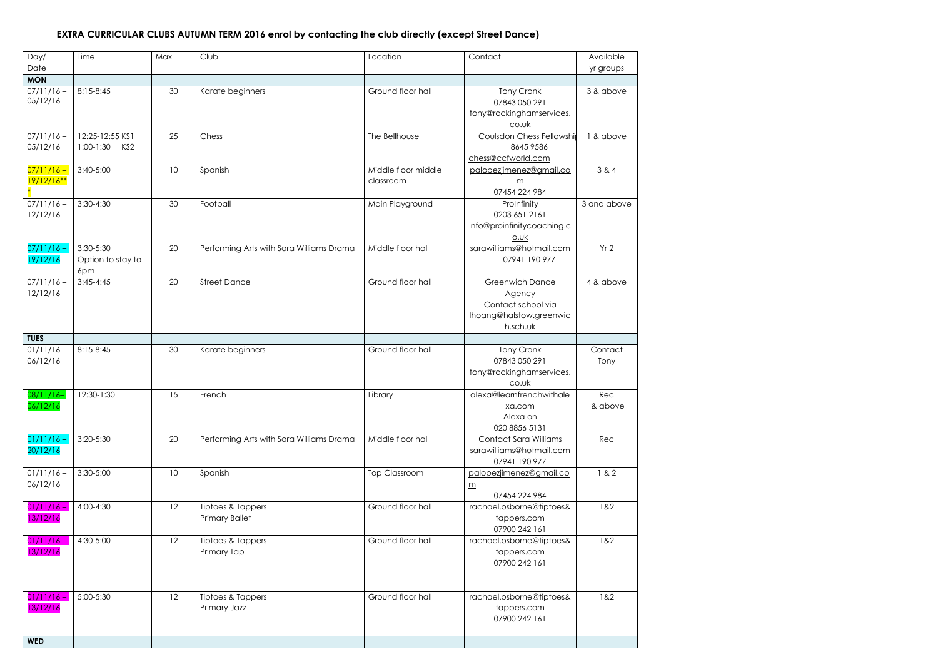## **EXTRA CURRICULAR CLUBS AUTUMN TERM 2016 enrol by contacting the club directly (except Street Dance)**

| Day/                         | Time                                  | Max             | Club                                       | Location                         | Contact                                                                                       | Available       |
|------------------------------|---------------------------------------|-----------------|--------------------------------------------|----------------------------------|-----------------------------------------------------------------------------------------------|-----------------|
| Date                         |                                       |                 |                                            |                                  |                                                                                               | yr groups       |
| <b>MON</b>                   |                                       |                 |                                            |                                  |                                                                                               |                 |
| $07/11/16 -$<br>05/12/16     | 8:15-8:45                             | 30              | Karate beginners                           | Ground floor hall                | Tony Cronk<br>07843 050 291<br>tony@rockinghamservices.<br>co.uk                              | 3 & above       |
| $07/11/16 -$<br>05/12/16     | 12:25-12:55 KS1<br>$1:00-1:30$<br>KS2 | 25              | Chess                                      | The Bellhouse                    | Coulsdon Chess Fellowshir<br>8645 9586<br>chess@ccfworld.com                                  | 1 & above       |
| $07/11/16 -$<br>$19/12/16**$ | $3:40-5:00$                           | 10              | Spanish                                    | Middle floor middle<br>classroom | palopezjimenez@gmail.co<br>$\underline{m}$<br>07454 224 984                                   | 3 & 4           |
| $07/11/16 -$<br>12/12/16     | $3:30-4:30$                           | 30              | Football                                   | Main Playground                  | ProInfinity<br>0203 651 2161<br>info@proinfinitycoaching.c<br>0.0k                            | 3 and above     |
| $07/11/16 -$<br>19/12/16     | 3:30-5:30<br>Option to stay to<br>6pm | 20              | Performing Arts with Sara Williams Drama   | Middle floor hall                | sarawilliams@hotmail.com<br>07941 190 977                                                     | Yr2             |
| $07/11/16 -$<br>12/12/16     | $3:45-4:45$                           | 20              | <b>Street Dance</b>                        | Ground floor hall                | <b>Greenwich Dance</b><br>Agency<br>Contact school via<br>Ihoang@halstow.greenwic<br>h.sch.uk | 4 & above       |
| <b>TUES</b>                  |                                       |                 |                                            |                                  |                                                                                               |                 |
| $01/11/16 -$<br>06/12/16     | 8:15-8:45                             | 30              | Karate beginners                           | Ground floor hall                | Tony Cronk<br>07843 050 291<br>tony@rockinghamservices.<br>co.uk                              | Contact<br>Tony |
| $08/11/16-$<br>06/12/16      | 12:30-1:30                            | 15              | French                                     | Library                          | alexa@learnfrenchwithale<br>xa.com<br>Alexa on<br>020 8856 5131                               | Rec<br>& above  |
| $01/11/16 -$<br>20/12/16     | 3:20-5:30                             | 20              | Performing Arts with Sara Williams Drama   | Middle floor hall                | <b>Contact Sara Williams</b><br>sarawilliams@hotmail.com<br>07941 190 977                     | Rec             |
| $01/11/16 -$<br>06/12/16     | 3:30-5:00                             | 10 <sup>°</sup> | Spanish                                    | <b>Top Classroom</b>             | palopezjimenez@gmail.co<br>$\underline{m}$<br>07454 224 984                                   | 1 & 2           |
| $01/11/16 -$<br>13/12/16     | 4:00-4:30                             | 12              | Tiptoes & Tappers<br><b>Primary Ballet</b> | Ground floor hall                | rachael.osborne@tiptoes&<br>tappers.com<br>07900 242 161                                      | 1&2             |
| $01/11/16 -$<br>13/12/16     | 4:30-5:00                             | 12              | Tiptoes & Tappers<br>Primary Tap           | Ground floor hall                | rachael.osborne@tiptoes&<br>tappers.com<br>07900 242 161                                      | 1&2             |
| $01/11/16 -$<br>13/12/16     | 5:00-5:30                             | 12              | Tiptoes & Tappers<br>Primary Jazz          | Ground floor hall                | rachael.osborne@tiptoes&<br>tappers.com<br>07900 242 161                                      | 1&2             |
| <b>WED</b>                   |                                       |                 |                                            |                                  |                                                                                               |                 |